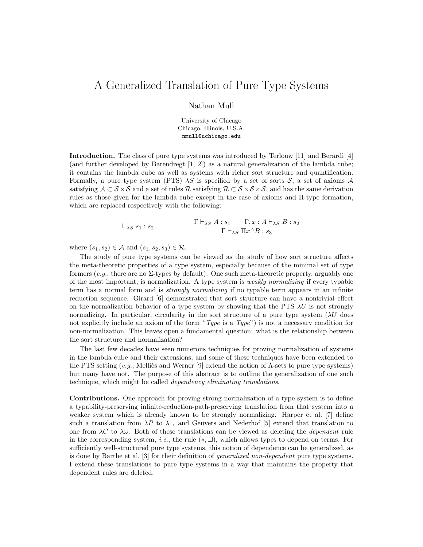## A Generalized Translation of Pure Type Systems

Nathan Mull

University of Chicago Chicago, Illinois, U.S.A. nmull@uchicago.edu

Introduction. The class of pure type systems was introduced by Terlouw [11] and Berardi [4] (and further developed by Barendregt [1, 2]) as a natural generalization of the lambda cube; it contains the lambda cube as well as systems with richer sort structure and quantification. Formally, a pure type system (PTS)  $\lambda S$  is specified by a set of sorts S, a set of axioms A satisfying  $A \subset S \times S$  and a set of rules R satisfying  $R \subset S \times S \times S$ , and has the same derivation rules as those given for the lambda cube except in the case of axioms and Π-type formation, which are replaced respectively with the following:

$$
\vdash_{\lambda S} s_1 : s_2 \qquad \qquad \frac{\Gamma \vdash_{\lambda S} A : s_1 \quad \Gamma, x : A \vdash_{\lambda S} B : s_2}{\Gamma \vdash_{\lambda S} \Pi x^A B : s_3}
$$

where  $(s_1, s_2) \in \mathcal{A}$  and  $(s_1, s_2, s_3) \in \mathcal{R}$ .

The study of pure type systems can be viewed as the study of how sort structure affects the meta-theoretic properties of a type system, especially because of the minimal set of type formers  $(e.g.,\text{ there are no }\Sigma\text{-types by default})$ . One such meta-theoretic property, arguably one of the most important, is normalization. A type system is weakly normalizing if every typable term has a normal form and is strongly normalizing if no typable term appears in an infinite reduction sequence. Girard [6] demonstrated that sort structure can have a nontrivial effect on the normalization behavior of a type system by showing that the PTS  $\lambda U$  is not strongly normalizing. In particular, circularity in the sort structure of a pure type system  $(\lambda U)$  does not explicitly include an axiom of the form "Type is a Type") is not a necessary condition for non-normalization. This leaves open a fundamental question: what is the relationship between the sort structure and normalization?

The last few decades have seen numerous techniques for proving normalization of systems in the lambda cube and their extensions, and some of these techniques have been extended to the PTS setting (e.g., Melliès and Werner [9] extend the notion of  $\Lambda$ -sets to pure type systems) but many have not. The purpose of this abstract is to outline the generalization of one such technique, which might be called dependency eliminating translations.

Contributions. One approach for proving strong normalization of a type system is to define a typability-preserving infinite-reduction-path-preserving translation from that system into a weaker system which is already known to be strongly normalizing. Harper et al. [7] define such a translation from  $\lambda P$  to  $\lambda \rightarrow$  and Geuvers and Nederhof [5] extend that translation to one from  $\lambda C$  to  $\lambda \omega$ . Both of these translations can be viewed as deleting the *dependent* rule in the corresponding system, *i.e.*, the rule  $(*, \Box)$ , which allows types to depend on terms. For sufficiently well-structured pure type systems, this notion of dependence can be generalized, as is done by Barthe et al. [3] for their definition of generalized non-dependent pure type systems. I extend these translations to pure type systems in a way that maintains the property that dependent rules are deleted.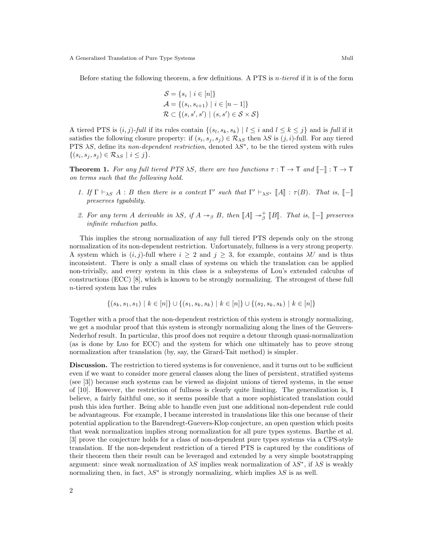Before stating the following theorem, a few definitions. A PTS is *n*-tiered if it is of the form

$$
S = \{s_i \mid i \in [n]\}
$$
  
\n
$$
A = \{(s_i, s_{i+1}) \mid i \in [n-1]\}
$$
  
\n
$$
R \subset \{(s, s', s') \mid (s, s') \in S \times S\}
$$

A tiered PTS is  $(i, j)$ -full if its rules contain  $\{(s_l, s_k, s_k) \mid l \leq i \text{ and } l \leq k \leq j\}$  and is full if it satisfies the following closure property: if  $(s_i, s_j, s_j) \in \mathcal{R}_{\lambda S}$  then  $\lambda S$  is  $(j, i)$ -full. For any tiered PTS  $\lambda S$ , define its non-dependent restriction, denoted  $\lambda S^*$ , to be the tiered system with rules  $\{(s_i, s_j, s_j) \in \mathcal{R}_{\lambda S} \mid i \leq j\}.$ 

**Theorem 1.** For any full tiered PTS  $\lambda S$ , there are two functions  $\tau : \mathsf{T} \to \mathsf{T}$  and  $\mathsf{F} \to \mathsf{T} \to \mathsf{T}$ on terms such that the following hold.

- 1. If  $\Gamma \vdash_{\lambda S} A : B$  then there is a context  $\Gamma'$  such that  $\Gamma' \vdash_{\lambda S^*} [A] : \tau(B)$ . That is,  $[-]$ <br>measures temphility preserves typability.
- 2. For any term A derivable in  $\lambda S$ , if  $A \rightarrow_{\beta} B$ , then  $\llbracket A \rrbracket \rightarrow_{\beta}^{+} \llbracket B \rrbracket$ . That is,  $\llbracket \rrbracket$  preserves infinite reduction paths.

This implies the strong normalization of any full tiered PTS depends only on the strong normalization of its non-dependent restriction. Unfortunately, fullness is a very strong property. A system which is  $(i, j)$ -full where  $i \geq 2$  and  $j \geq 3$ , for example, contains  $\lambda U$  and is thus inconsistent. There is only a small class of systems on which the translation can be applied non-trivially, and every system in this class is a subsystems of Lou's extended calculus of constructions (ECC) [8], which is known to be strongly normalizing. The strongest of these full n-tiered system has the rules

$$
\{(s_k, s_1, s_1) \mid k \in [n]\} \cup \{(s_1, s_k, s_k) \mid k \in [n]\} \cup \{(s_2, s_k, s_k) \mid k \in [n]\}
$$

Together with a proof that the non-dependent restriction of this system is strongly normalizing, we get a modular proof that this system is strongly normalizing along the lines of the Geuvers-Nederhof result. In particular, this proof does not require a detour through quasi-normalization (as is done by Luo for ECC) and the system for which one ultimately has to prove strong normalization after translation (by, say, the Girard-Tait method) is simpler.

Discussion. The restriction to tiered systems is for convenience, and it turns out to be sufficient even if we want to consider more general classes along the lines of persistent, stratified systems (see [3]) because such systems can be viewed as disjoint unions of tiered systems, in the sense of [10]. However, the restriction of fullness is clearly quite limiting. The generalization is, I believe, a fairly faithful one, so it seems possible that a more sophisticated translation could push this idea further. Being able to handle even just one additional non-dependent rule could be advantageous. For example, I became interested in translations like this one because of their potential application to the Barendregt-Guevers-Klop conjecture, an open question which posits that weak normalization implies strong normalization for all pure types systems. Barthe et al. [3] prove the conjecture holds for a class of non-dependent pure types systems via a CPS-style translation. If the non-dependent restriction of a tiered PTS is captured by the conditions of their theorem then their result can be leveraged and extended by a very simple bootstrapping argument: since weak normalization of  $\lambda S$  implies weak normalization of  $\lambda S^*$ , if  $\lambda S$  is weakly normalizing then, in fact,  $\lambda S^*$  is strongly normalizing, which implies  $\lambda S$  is as well.